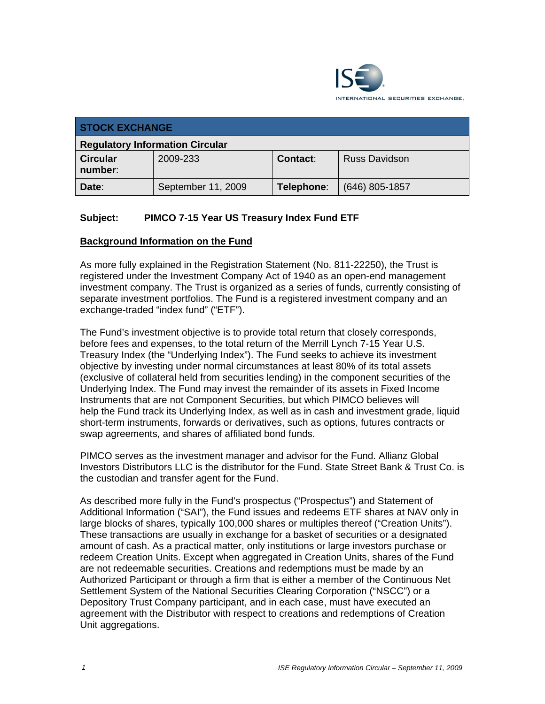

| <b>STOCK EXCHANGE</b>                  |                    |            |                      |  |  |
|----------------------------------------|--------------------|------------|----------------------|--|--|
| <b>Regulatory Information Circular</b> |                    |            |                      |  |  |
| <b>Circular</b><br>number:             | 2009-233           | Contact:   | <b>Russ Davidson</b> |  |  |
| Date:                                  | September 11, 2009 | Telephone: | $(646)$ 805-1857     |  |  |

# **Subject: PIMCO 7-15 Year US Treasury Index Fund ETF**

# **Background Information on the Fund**

As more fully explained in the Registration Statement (No. 811-22250), the Trust is registered under the Investment Company Act of 1940 as an open-end management investment company. The Trust is organized as a series of funds, currently consisting of separate investment portfolios. The Fund is a registered investment company and an exchange-traded "index fund" ("ETF").

The Fund's investment objective is to provide total return that closely corresponds, before fees and expenses, to the total return of the Merrill Lynch 7-15 Year U.S. Treasury Index (the "Underlying Index"). The Fund seeks to achieve its investment objective by investing under normal circumstances at least 80% of its total assets (exclusive of collateral held from securities lending) in the component securities of the Underlying Index. The Fund may invest the remainder of its assets in Fixed Income Instruments that are not Component Securities, but which PIMCO believes will help the Fund track its Underlying Index, as well as in cash and investment grade, liquid short-term instruments, forwards or derivatives, such as options, futures contracts or swap agreements, and shares of affiliated bond funds.

PIMCO serves as the investment manager and advisor for the Fund. Allianz Global Investors Distributors LLC is the distributor for the Fund. State Street Bank & Trust Co. is the custodian and transfer agent for the Fund.

As described more fully in the Fund's prospectus ("Prospectus") and Statement of Additional Information ("SAI"), the Fund issues and redeems ETF shares at NAV only in large blocks of shares, typically 100,000 shares or multiples thereof ("Creation Units"). These transactions are usually in exchange for a basket of securities or a designated amount of cash. As a practical matter, only institutions or large investors purchase or redeem Creation Units. Except when aggregated in Creation Units, shares of the Fund are not redeemable securities. Creations and redemptions must be made by an Authorized Participant or through a firm that is either a member of the Continuous Net Settlement System of the National Securities Clearing Corporation ("NSCC") or a Depository Trust Company participant, and in each case, must have executed an agreement with the Distributor with respect to creations and redemptions of Creation Unit aggregations.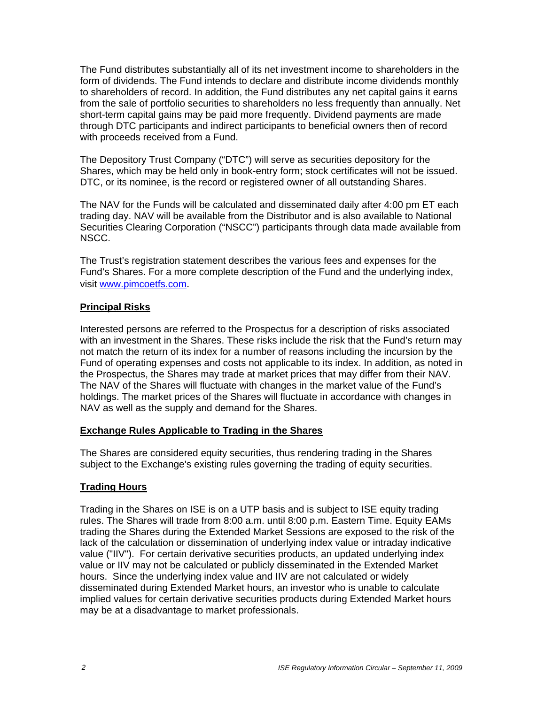The Fund distributes substantially all of its net investment income to shareholders in the form of dividends. The Fund intends to declare and distribute income dividends monthly to shareholders of record. In addition, the Fund distributes any net capital gains it earns from the sale of portfolio securities to shareholders no less frequently than annually. Net short-term capital gains may be paid more frequently. Dividend payments are made through DTC participants and indirect participants to beneficial owners then of record with proceeds received from a Fund.

The Depository Trust Company ("DTC") will serve as securities depository for the Shares, which may be held only in book-entry form; stock certificates will not be issued. DTC, or its nominee, is the record or registered owner of all outstanding Shares.

The NAV for the Funds will be calculated and disseminated daily after 4:00 pm ET each trading day. NAV will be available from the Distributor and is also available to National Securities Clearing Corporation ("NSCC") participants through data made available from NSCC.

The Trust's registration statement describes the various fees and expenses for the Fund's Shares. For a more complete description of the Fund and the underlying index, visit www.pimcoetfs.com.

# **Principal Risks**

Interested persons are referred to the Prospectus for a description of risks associated with an investment in the Shares. These risks include the risk that the Fund's return may not match the return of its index for a number of reasons including the incursion by the Fund of operating expenses and costs not applicable to its index. In addition, as noted in the Prospectus, the Shares may trade at market prices that may differ from their NAV. The NAV of the Shares will fluctuate with changes in the market value of the Fund's holdings. The market prices of the Shares will fluctuate in accordance with changes in NAV as well as the supply and demand for the Shares.

# **Exchange Rules Applicable to Trading in the Shares**

The Shares are considered equity securities, thus rendering trading in the Shares subject to the Exchange's existing rules governing the trading of equity securities.

# **Trading Hours**

Trading in the Shares on ISE is on a UTP basis and is subject to ISE equity trading rules. The Shares will trade from 8:00 a.m. until 8:00 p.m. Eastern Time. Equity EAMs trading the Shares during the Extended Market Sessions are exposed to the risk of the lack of the calculation or dissemination of underlying index value or intraday indicative value ("IIV"). For certain derivative securities products, an updated underlying index value or IIV may not be calculated or publicly disseminated in the Extended Market hours. Since the underlying index value and IIV are not calculated or widely disseminated during Extended Market hours, an investor who is unable to calculate implied values for certain derivative securities products during Extended Market hours may be at a disadvantage to market professionals.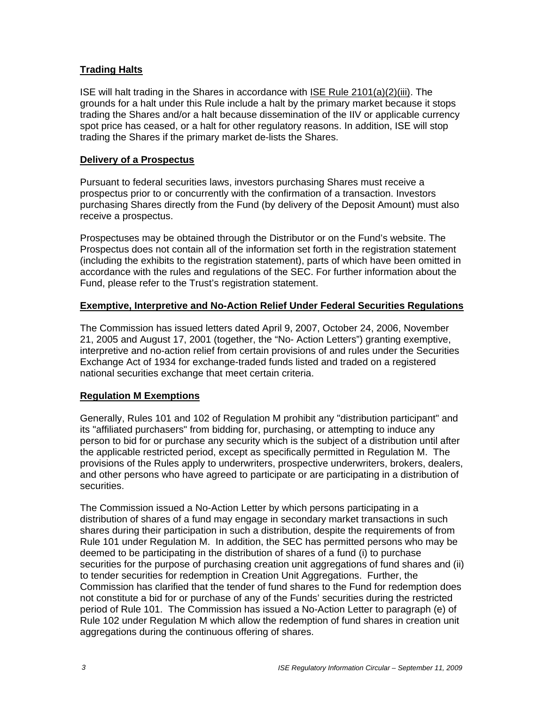# **Trading Halts**

ISE will halt trading in the Shares in accordance with ISE Rule 2101(a)(2)(iii). The grounds for a halt under this Rule include a halt by the primary market because it stops trading the Shares and/or a halt because dissemination of the IIV or applicable currency spot price has ceased, or a halt for other regulatory reasons. In addition, ISE will stop trading the Shares if the primary market de-lists the Shares.

#### **Delivery of a Prospectus**

Pursuant to federal securities laws, investors purchasing Shares must receive a prospectus prior to or concurrently with the confirmation of a transaction. Investors purchasing Shares directly from the Fund (by delivery of the Deposit Amount) must also receive a prospectus.

Prospectuses may be obtained through the Distributor or on the Fund's website. The Prospectus does not contain all of the information set forth in the registration statement (including the exhibits to the registration statement), parts of which have been omitted in accordance with the rules and regulations of the SEC. For further information about the Fund, please refer to the Trust's registration statement.

# **Exemptive, Interpretive and No-Action Relief Under Federal Securities Regulations**

The Commission has issued letters dated April 9, 2007, October 24, 2006, November 21, 2005 and August 17, 2001 (together, the "No- Action Letters") granting exemptive, interpretive and no-action relief from certain provisions of and rules under the Securities Exchange Act of 1934 for exchange-traded funds listed and traded on a registered national securities exchange that meet certain criteria.

# **Regulation M Exemptions**

Generally, Rules 101 and 102 of Regulation M prohibit any "distribution participant" and its "affiliated purchasers" from bidding for, purchasing, or attempting to induce any person to bid for or purchase any security which is the subject of a distribution until after the applicable restricted period, except as specifically permitted in Regulation M. The provisions of the Rules apply to underwriters, prospective underwriters, brokers, dealers, and other persons who have agreed to participate or are participating in a distribution of securities.

The Commission issued a No-Action Letter by which persons participating in a distribution of shares of a fund may engage in secondary market transactions in such shares during their participation in such a distribution, despite the requirements of from Rule 101 under Regulation M. In addition, the SEC has permitted persons who may be deemed to be participating in the distribution of shares of a fund (i) to purchase securities for the purpose of purchasing creation unit aggregations of fund shares and (ii) to tender securities for redemption in Creation Unit Aggregations. Further, the Commission has clarified that the tender of fund shares to the Fund for redemption does not constitute a bid for or purchase of any of the Funds' securities during the restricted period of Rule 101. The Commission has issued a No-Action Letter to paragraph (e) of Rule 102 under Regulation M which allow the redemption of fund shares in creation unit aggregations during the continuous offering of shares.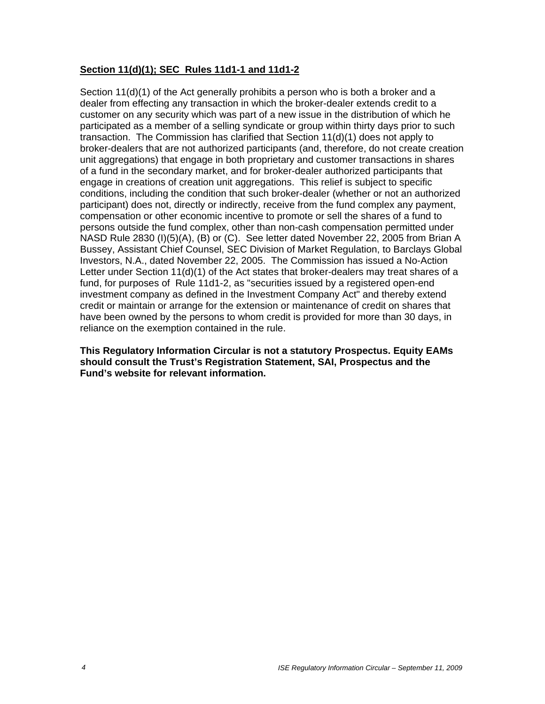# **Section 11(d)(1); SEC Rules 11d1-1 and 11d1-2**

Section 11(d)(1) of the Act generally prohibits a person who is both a broker and a dealer from effecting any transaction in which the broker-dealer extends credit to a customer on any security which was part of a new issue in the distribution of which he participated as a member of a selling syndicate or group within thirty days prior to such transaction. The Commission has clarified that Section 11(d)(1) does not apply to broker-dealers that are not authorized participants (and, therefore, do not create creation unit aggregations) that engage in both proprietary and customer transactions in shares of a fund in the secondary market, and for broker-dealer authorized participants that engage in creations of creation unit aggregations. This relief is subject to specific conditions, including the condition that such broker-dealer (whether or not an authorized participant) does not, directly or indirectly, receive from the fund complex any payment, compensation or other economic incentive to promote or sell the shares of a fund to persons outside the fund complex, other than non-cash compensation permitted under NASD Rule 2830 (I)(5)(A), (B) or (C). See letter dated November 22, 2005 from Brian A Bussey, Assistant Chief Counsel, SEC Division of Market Regulation, to Barclays Global Investors, N.A., dated November 22, 2005. The Commission has issued a No-Action Letter under Section 11(d)(1) of the Act states that broker-dealers may treat shares of a fund, for purposes of Rule 11d1-2, as "securities issued by a registered open-end investment company as defined in the Investment Company Act" and thereby extend credit or maintain or arrange for the extension or maintenance of credit on shares that have been owned by the persons to whom credit is provided for more than 30 days, in reliance on the exemption contained in the rule.

**This Regulatory Information Circular is not a statutory Prospectus. Equity EAMs should consult the Trust's Registration Statement, SAI, Prospectus and the Fund's website for relevant information.**